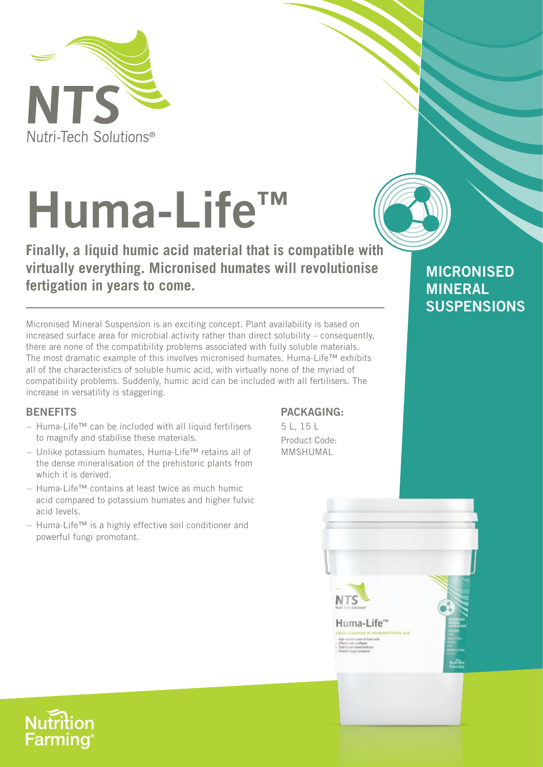

# **Huma-Life™**

**Finally, a liquid humic acid material that is compatible with virtually everything. Micronised humates will revolutionise fertigation in years to come.**

Micronised Mineral Suspension is an exciting concept. Plant availability is based on increased surface area for microbial activity rather than direct solubility – consequently, there are none of the compatibility problems associated with fully soluble materials. The most dramatic example of this involves micronised humates. Huma-Life™ exhibits all of the characteristics of soluble humic acid, with virtually none of the myriad of compatibility problems. Suddenly, humic acid can be included with all fertilisers. The increase in versatility is staggering.

# **BENEFITS**

- Huma-Life™ can be included with all liquid fertilisers to magnify and stabilise these materials.
- Unlike potassium humates, Huma-Life™ retains all of the dense mineralisation of the prehistoric plants from which it is derived.
- Huma-Life™ contains at least twice as much humic acid compared to potassium humates and higher fulvic acid levels.
- Huma-Life™ is a highly effective soil conditioner and powerful fungi promotant.

# **PACKAGING:**

5 L, 15 L Product Code: MMSHUMAL



**MICRONISED**

**SUSPENSIONS**

**MINERAL**